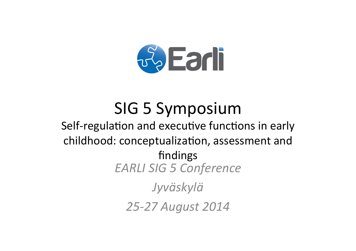

# **SIG 5 Symposium** Self-regulation and executive functions in early childhood: conceptualization, assessment and findings **EARLI SIG 5 Conference** Jyväskylä 25-27 August 2014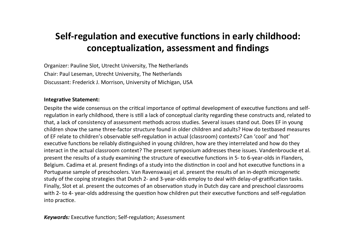# Self-regulation and executive functions in early childhood: conceptualization, assessment and findings

Organizer: Pauline Slot, Utrecht University, The Netherlands Chair: Paul Leseman, Utrecht University, The Netherlands Discussant: Frederick J. Morrison, University of Michigan, USA

#### **Integrative Statement:**

Despite the wide consensus on the critical importance of optimal development of executive functions and selfregulation in early childhood, there is still a lack of conceptual clarity regarding these constructs and, related to that, a lack of consistency of assessment methods across studies. Several issues stand out. Does EF in young children show the same three-factor structure found in older children and adults? How do testbased measures of EF relate to children's observable self-regulation in actual (classroom) contexts? Can 'cool' and 'hot' executive functions be reliably distinguished in young children, how are they interrelated and how do they interact in the actual classroom context? The present symposium addresses these issues. Vandenbroucke et al. present the results of a study examining the structure of executive functions in 5- to 6-year-olds in Flanders, Belgium. Cadima et al. present findings of a study into the distinction in cool and hot executive functions in a Portuguese sample of preschoolers. Van Ravenswaaij et al. present the results of an in-depth microgenetic study of the coping strategies that Dutch 2- and 3-year-olds employ to deal with delay-of-gratification tasks. Finally, Slot et al. present the outcomes of an observation study in Dutch day care and preschool classrooms with 2- to 4- year-olds addressing the question how children put their executive functions and self-regulation into practice.

**Keywords:** Executive function; Self-regulation; Assessment